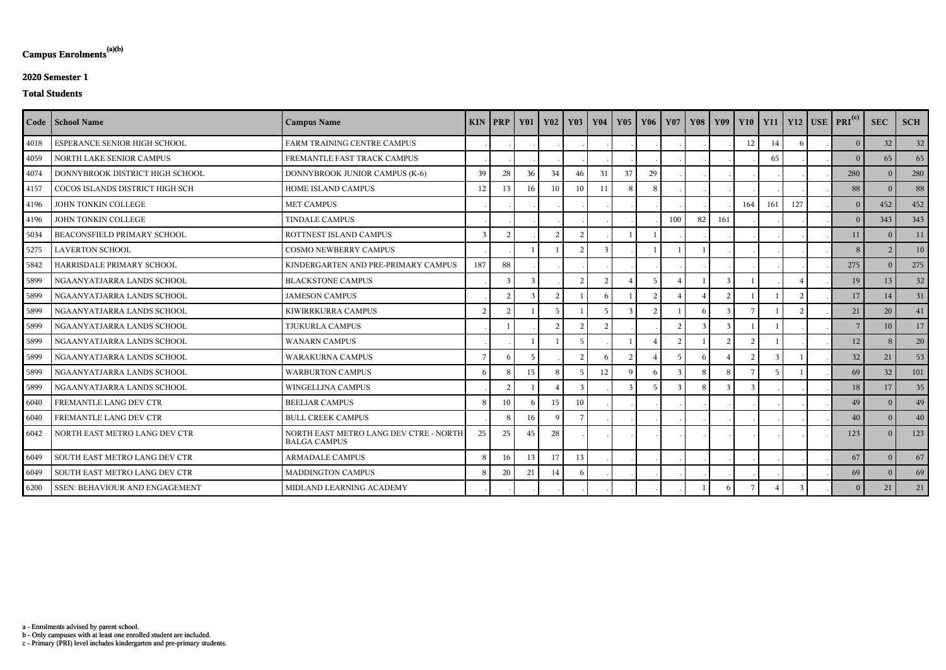c - Primary (PRI) level includes kindergarten and pre-primary students.

b - Only campuses with at least one enrolled student are included.

a - Enrolments advised by parent school.

## **Campus Enrolments(a)(b)**

## **2020 Semester 1**

#### **Total Students**

|      | Code   School Name              | <b>Campus Name</b>                                            |               | $KIN$   PRP    | $\vert$ Y01   | <b>Y02</b>     | <b>Y03</b>     | <b>Y04</b>     | Y05           | Y06             | Y07 |    |               |          |                |               | Y08 Y09 Y10 Y11 Y12 USE PRI <sup>(c)</sup> | <b>SEC</b> | <b>SCH</b>      |
|------|---------------------------------|---------------------------------------------------------------|---------------|----------------|---------------|----------------|----------------|----------------|---------------|-----------------|-----|----|---------------|----------|----------------|---------------|--------------------------------------------|------------|-----------------|
| 4018 | ESPERANCE SENIOR HIGH SCHOOL    | FARM TRAINING CENTRE CAMPUS                                   |               |                |               |                |                |                |               |                 |     |    |               | 12       | 14             | 6             | $\overline{0}$                             | 32         | 32              |
| 4059 | NORTH LAKE SENIOR CAMPUS        | FREMANTLE FAST TRACK CAMPUS                                   |               |                |               |                |                |                |               |                 |     |    |               |          | 65             |               | $\theta$                                   | 65         | 65              |
| 4074 | DONNYBROOK DISTRICT HIGH SCHOOL | DONNYBROOK JUNIOR CAMPUS (K-6)                                | 39            | 28             | 36            | 34             | 46             | 31             | 37            | 29              |     |    |               |          |                |               | 280                                        | $\Omega$   | 280             |
| 4157 | COCOS ISLANDS DISTRICT HIGH SCH | HOME ISLAND CAMPUS                                            | 12            | 13             | 16            | 10             | 10             | 11             | 8             | 8               |     |    |               |          |                |               | 88                                         | $\Omega$   | 88              |
| 4196 | JOHN TONKIN COLLEGE             | <b>MET CAMPUS</b>                                             |               |                |               |                |                |                |               |                 |     |    |               | 164      | 161            | 127           | $\overline{0}$                             | 452        | 452             |
| 4196 | JOHN TONKIN COLLEGE             | <b>TINDALE CAMPUS</b>                                         |               |                |               |                |                |                |               |                 | 100 | 82 | 161           |          |                |               | $\overline{0}$                             | 343        | 343             |
| 5034 | BEACONSFIELD PRIMARY SCHOOL     | ROTTNEST ISLAND CAMPUS                                        | $\mathcal{R}$ | $\mathcal{D}$  |               | $\overline{2}$ | $\mathcal{D}$  |                |               |                 |     |    |               |          |                |               | 11                                         | $\Omega$   | 11              |
| 5275 | <b>LAVERTON SCHOOL</b>          | <b>COSMO NEWBERRY CAMPUS</b>                                  |               |                |               |                | $\mathcal{D}$  | $\mathbf{3}$   |               |                 |     |    |               |          |                |               | 8                                          |            | 10 <sup>1</sup> |
| 5842 | HARRISDALE PRIMARY SCHOOL       | KINDERGARTEN AND PRE-PRIMARY CAMPUS                           | 187           | 88             |               |                |                |                |               |                 |     |    |               |          |                |               | 275                                        | $\Omega$   | 275             |
| 5899 | NGAANYATJARRA LANDS SCHOOL      | <b>BLACKSTONE CAMPUS</b>                                      |               | $\mathcal{E}$  | $\mathcal{E}$ |                | $\overline{2}$ | $\overline{2}$ |               | $5\overline{2}$ |     |    |               |          |                |               | 19                                         | 13         | 32              |
| 5899 | NGAANYATJARRA LANDS SCHOOL      | <b>JAMESON CAMPUS</b>                                         |               | $\overline{2}$ |               | $\overline{2}$ |                | 6              |               | $\mathcal{D}$   |     |    |               |          |                | $\mathcal{L}$ | 17                                         | 14         | 31              |
| 5899 | NGAANYATJARRA LANDS SCHOOL      | KIWIRRKURRA CAMPUS                                            | 2             | $\mathcal{D}$  |               | -5             |                |                | 3             | $\overline{2}$  |     |    |               |          |                |               | 21                                         | 20         | 41              |
| 5899 | NGAANYATJARRA LANDS SCHOOL      | <b>TJUKURLA CAMPUS</b>                                        |               |                |               | $\overline{2}$ | $\overline{2}$ | $\overline{2}$ |               |                 |     |    |               |          |                |               | $7\phantom{.0}$                            | 10         | 17              |
| 5899 | NGAANYATJARRA LANDS SCHOOL      | <b>WANARN CAMPUS</b>                                          |               |                |               |                | -5             |                |               |                 | - 2 |    | $\mathcal{D}$ | $\gamma$ |                |               | 12                                         | -8         | 20 <sup>1</sup> |
| 5899 | NGAANYATJARRA LANDS SCHOOL      | <b>WARAKURNA CAMPUS</b>                                       |               | -6             |               |                | $\overline{2}$ | 6              | 2             |                 |     |    |               |          |                |               | 32                                         | 21         | 53              |
| 5899 | NGAANYATJARRA LANDS SCHOOL      | <b>WARBURTON CAMPUS</b>                                       | -6            | -8             | 15            | -8             | -5             | 12             | q             | 6               | -3  | 8  | 8             |          | $\overline{5}$ |               | 69                                         | 32         | 101             |
| 5899 | NGAANYATJARRA LANDS SCHOOL      | <b>WINGELLINA CAMPUS</b>                                      |               | $\mathcal{L}$  |               |                | $\mathcal{R}$  |                | $\mathcal{E}$ | .5              | -2  | 8  |               |          |                |               | 18                                         | 17         | 35              |
| 6040 | FREMANTLE LANG DEV CTR          | <b>BEELIAR CAMPUS</b>                                         | 8             | 10             |               | 15             | 10             |                |               |                 |     |    |               |          |                |               | 49                                         | - 0        | 49              |
| 6040 | FREMANTLE LANG DEV CTR          | <b>BULL CREEK CAMPUS</b>                                      |               | -8             | 16            | <sup>Q</sup>   |                |                |               |                 |     |    |               |          |                |               | 40                                         | $\Omega$   | 40 <sup>°</sup> |
| 6042 | NORTH EAST METRO LANG DEV CTR   | NORTH EAST METRO LANG DEV CTRE - NORTH<br><b>BALGA CAMPUS</b> | 25            | 25             | 45            | 28             |                |                |               |                 |     |    |               |          |                |               | 123                                        | $\Omega$   | 123             |
| 6049 | SOUTH EAST METRO LANG DEV CTR   | <b>ARMADALE CAMPUS</b>                                        | 8             | 16             | 13            | 17             | 13             |                |               |                 |     |    |               |          |                |               | 67                                         | $\theta$   | 67              |
| 6049 | SOUTH EAST METRO LANG DEV CTR   | <b>MADDINGTON CAMPUS</b>                                      | 8             | 20             | 21            | 14             |                |                |               |                 |     |    |               |          |                |               | 69                                         | $\theta$   | 69              |
| 6200 | SSEN: BEHAVIOUR AND ENGAGEMENT  | MIDLAND LEARNING ACADEMY                                      |               |                |               |                |                |                |               |                 |     |    |               |          |                | $\mathbf{3}$  | $\overline{0}$                             | 21         | 21              |